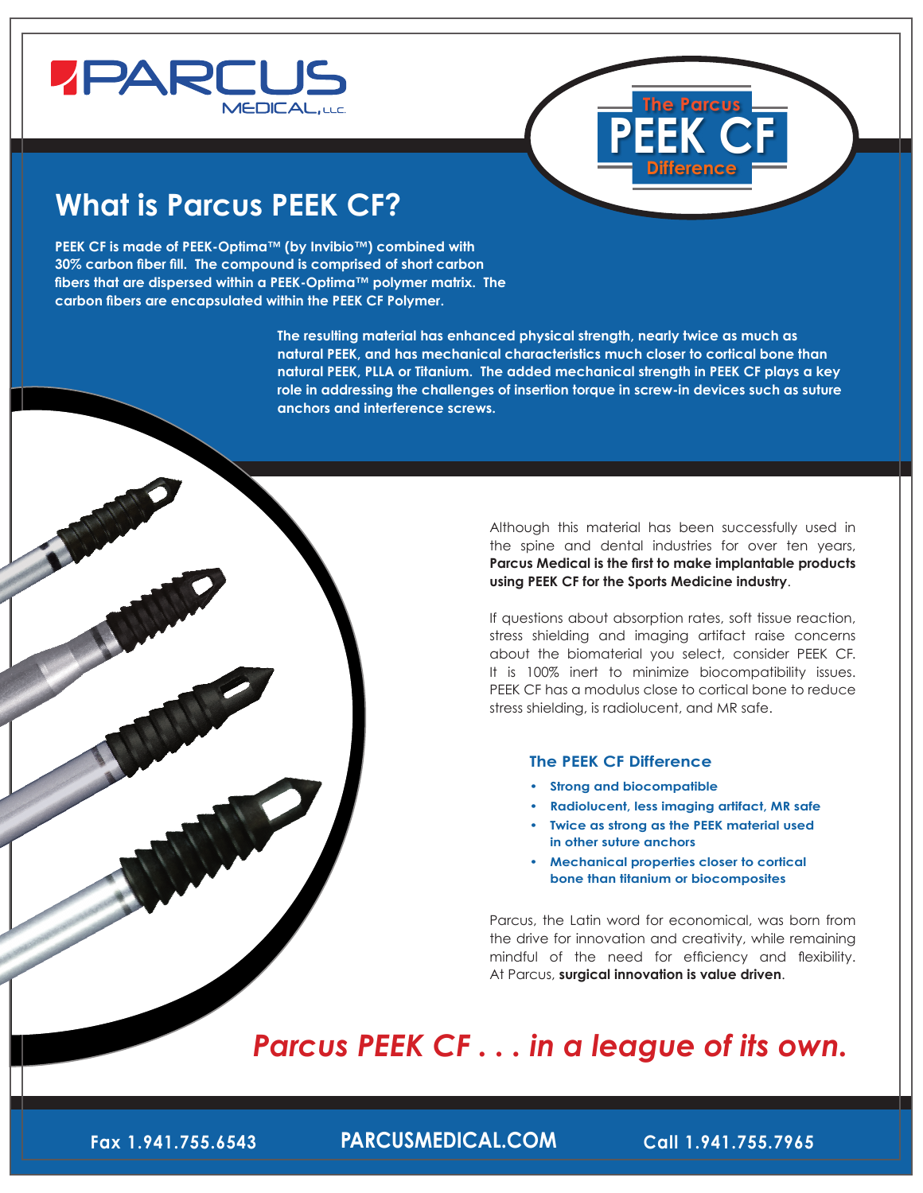



# **What is Parcus PEEK CF?**

**PEEK CF is made of PEEK-Optima™ (by Invibio™) combined with 30% carbon fiber fill. The compound is comprised of short carbon fibers that are dispersed within a PEEK-Optima™ polymer matrix. The carbon fibers are encapsulated within the PEEK CF Polymer.** 

> **The resulting material has enhanced physical strength, nearly twice as much as natural PEEK, and has mechanical characteristics much closer to cortical bone than natural PEEK, PLLA or Titanium. The added mechanical strength in PEEK CF plays a key role in addressing the challenges of insertion torque in screw-in devices such as suture anchors and interference screws.**

> > Although this material has been successfully used in the spine and dental industries for over ten years, **Parcus Medical is the first to make implantable products using PEEK CF for the Sports Medicine industry**.

> > If questions about absorption rates, soft tissue reaction, stress shielding and imaging artifact raise concerns about the biomaterial you select, consider PEEK CF. It is 100% inert to minimize biocompatibility issues. PEEK CF has a modulus close to cortical bone to reduce stress shielding, is radiolucent, and MR safe.

#### **The PEEK CF Difference**

- **• Strong and biocompatible**
- **• Radiolucent, less imaging artifact, MR safe**
- **• Twice as strong as the PEEK material used in other suture anchors**
- **• Mechanical properties closer to cortical bone than titanium or biocomposites**

Parcus, the Latin word for economical, was born from the drive for innovation and creativity, while remaining mindful of the need for efficiency and flexibility. At Parcus, **surgical innovation is value driven**.

## *Parcus PEEK CF . . . in a league of its own.*

**Fax 1.941.755.6543 PARCUSMEDICAL.COM Call 1.941.755.7965**